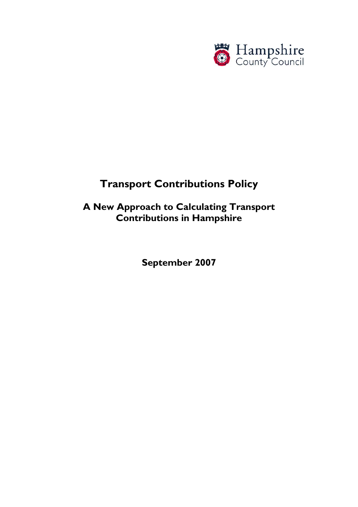

# **Transport Contributions Policy**

# **A New Approach to Calculating Transport Contributions in Hampshire**

**September 2007**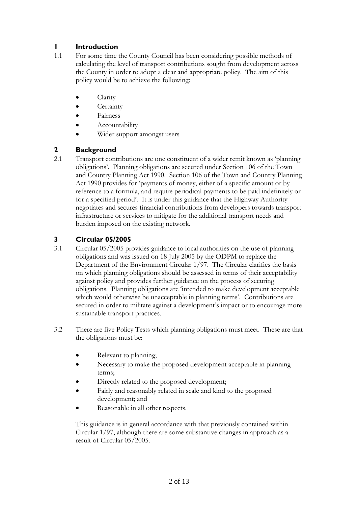# **1 Introduction**

- 1.1 For some time the County Council has been considering possible methods of calculating the level of transport contributions sought from development across the County in order to adopt a clear and appropriate policy. The aim of this policy would be to achieve the following:
	- Clarity
	- Certainty
	- Fairness
	- Accountability
	- Wider support amongst users

# **2 Background**

2.1 Transport contributions are one constituent of a wider remit known as 'planning obligations'. Planning obligations are secured under Section 106 of the Town and Country Planning Act 1990. Section 106 of the Town and Country Planning Act 1990 provides for 'payments of money, either of a specific amount or by reference to a formula, and require periodical payments to be paid indefinitely or for a specified period'. It is under this guidance that the Highway Authority negotiates and secures financial contributions from developers towards transport infrastructure or services to mitigate for the additional transport needs and burden imposed on the existing network.

# **3 Circular 05/2005**

- 3.1 Circular 05/2005 provides guidance to local authorities on the use of planning obligations and was issued on 18 July 2005 by the ODPM to replace the Department of the Environment Circular 1/97. The Circular clarifies the basis on which planning obligations should be assessed in terms of their acceptability against policy and provides further guidance on the process of securing obligations. Planning obligations are 'intended to make development acceptable which would otherwise be unacceptable in planning terms'. Contributions are secured in order to militate against a development's impact or to encourage more sustainable transport practices.
- 3.2 There are five Policy Tests which planning obligations must meet. These are that the obligations must be:
	- Relevant to planning;
	- Necessary to make the proposed development acceptable in planning terms;
	- Directly related to the proposed development;
	- Fairly and reasonably related in scale and kind to the proposed development; and
	- Reasonable in all other respects.

This guidance is in general accordance with that previously contained within Circular 1/97, although there are some substantive changes in approach as a result of Circular 05/2005.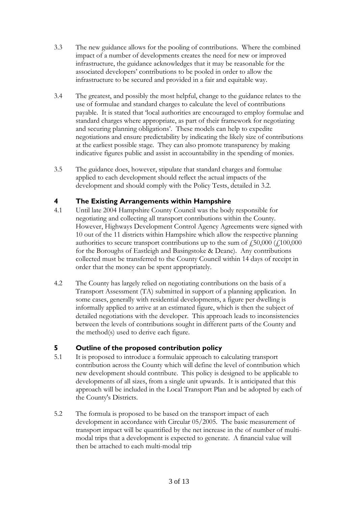- 3.3 The new guidance allows for the pooling of contributions. Where the combined impact of a number of developments creates the need for new or improved infrastructure, the guidance acknowledges that it may be reasonable for the associated developers' contributions to be pooled in order to allow the infrastructure to be secured and provided in a fair and equitable way.
- 3.4 The greatest, and possibly the most helpful, change to the guidance relates to the use of formulae and standard charges to calculate the level of contributions payable. It is stated that 'local authorities are encouraged to employ formulae and standard charges where appropriate, as part of their framework for negotiating and securing planning obligations'. These models can help to expedite negotiations and ensure predictability by indicating the likely size of contributions at the earliest possible stage. They can also promote transparency by making indicative figures public and assist in accountability in the spending of monies.
- 3.5 The guidance does, however, stipulate that standard charges and formulae applied to each development should reflect the actual impacts of the development and should comply with the Policy Tests, detailed in 3.2.

### **4 The Existing Arrangements within Hampshire**

- 4.1 Until late 2004 Hampshire County Council was the body responsible for negotiating and collecting all transport contributions within the County. However, Highways Development Control Agency Agreements were signed with 10 out of the 11 districts within Hampshire which allow the respective planning authorities to secure transport contributions up to the sum of  $\ddot{\text{f}}$  50,000 ( $\ddot{\text{f}}$ 100,000) for the Boroughs of Eastleigh and Basingstoke & Deane). Any contributions collected must be transferred to the County Council within 14 days of receipt in order that the money can be spent appropriately.
- 4.2 The County has largely relied on negotiating contributions on the basis of a Transport Assessment (TA) submitted in support of a planning application. In some cases, generally with residential developments, a figure per dwelling is informally applied to arrive at an estimated figure, which is then the subject of detailed negotiations with the developer. This approach leads to inconsistencies between the levels of contributions sought in different parts of the County and the method(s) used to derive each figure.

# **5 Outline of the proposed contribution policy**

- 5.1 It is proposed to introduce a formulaic approach to calculating transport contribution across the County which will define the level of contribution which new development should contribute. This policy is designed to be applicable to developments of all sizes, from a single unit upwards. It is anticipated that this approach will be included in the Local Transport Plan and be adopted by each of the County's Districts.
- 5.2 The formula is proposed to be based on the transport impact of each development in accordance with Circular 05/2005. The basic measurement of transport impact will be quantified by the net increase in the of number of multimodal trips that a development is expected to generate. A financial value will then be attached to each multi-modal trip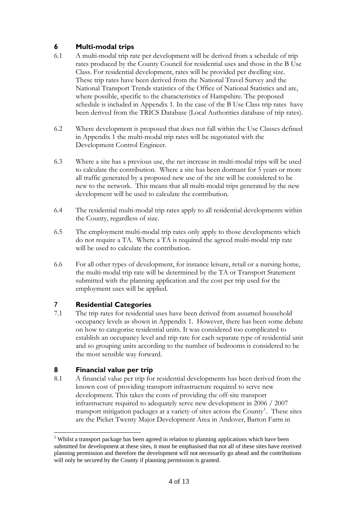# **6 Multi-modal trips**

- 6.1 A multi-modal trip rate per development will be derived from a schedule of trip rates produced by the County Council for residential uses and those in the B Use Class. For residential development, rates will be provided per dwelling size. These trip rates have been derived from the National Travel Survey and the National Transport Trends statistics of the Office of National Statistics and are, where possible, specific to the characteristics of Hampshire. The proposed schedule is included in Appendix 1. In the case of the B Use Class trip rates have been derived from the TRICS Database (Local Authorities database of trip rates).
- 6.2 Where development is proposed that does not fall within the Use Classes defined in Appendix 1 the multi-modal trip rates will be negotiated with the Development Control Engineer.
- 6.3 Where a site has a previous use, the net increase in multi-modal trips will be used to calculate the contribution. Where a site has been dormant for 5 years or more all traffic generated by a proposed new use of the site will be considered to be new to the network. This means that all multi-modal trips generated by the new development will be used to calculate the contribution.
- 6.4 The residential multi-modal trip rates apply to all residential developments within the County, regardless of size.
- 6.5 The employment multi-modal trip rates only apply to those developments which do not require a TA. Where a TA is required the agreed multi-modal trip rate will be used to calculate the contribution.
- 6.6 For all other types of development, for instance leisure, retail or a nursing home, the multi-modal trip rate will be determined by the TA or Transport Statement submitted with the planning application and the cost per trip used for the employment uses will be applied.

# 7 **Residential Categories**

7.1 The trip rates for residential uses have been derived from assumed household occupancy levels as shown in Appendix 1. However, there has been some debate on how to categorise residential units. It was considered too complicated to establish an occupancy level and trip rate for each separate type of residential unit and so grouping units according to the number of bedrooms is considered to be the most sensible way forward.

# **8 Financial value per trip**

 $\overline{a}$ 

8.1 A financial value per trip for residential developments has been derived from the known cost of providing transport infrastructure required to serve new development. This takes the costs of providing the off-site transport infrastructure required to adequately serve new development in 2006 / 2007 transport mitigation packages at a variety of sites across the County<sup>[1](#page-3-0)</sup>. These sites are the Picket Twenty Major Development Area in Andover, Barton Farm in

<span id="page-3-0"></span><sup>&</sup>lt;sup>1</sup> Whilst a transport package has been agreed in relation to planning applications which have been submitted for development at these sites, it must be emphasised that not all of these sites have received planning permission and therefore the development will not necessarily go ahead and the contributions will only be secured by the County if planning permission is granted.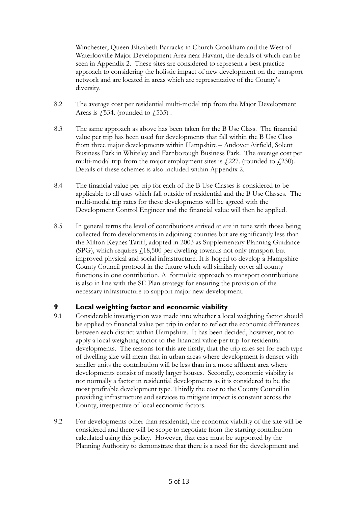Winchester, Queen Elizabeth Barracks in Church Crookham and the West of Waterlooville Major Development Area near Havant, the details of which can be seen in Appendix 2. These sites are considered to represent a best practice approach to considering the holistic impact of new development on the transport network and are located in areas which are representative of the County's diversity.

- 8.2 The average cost per residential multi-modal trip from the Major Development Areas is  $\sqrt{534}$ . (rounded to  $\sqrt{535}$ ).
- 8.3 The same approach as above has been taken for the B Use Class. The financial value per trip has been used for developments that fall within the B Use Class from three major developments within Hampshire – Andover Airfield, Solent Business Park in Whiteley and Farnborough Business Park. The average cost per multi-modal trip from the major employment sites is  $\sqrt{227}$ . (rounded to  $\sqrt{230}$ ). Details of these schemes is also included within Appendix 2.
- 8.4 The financial value per trip for each of the B Use Classes is considered to be applicable to all uses which fall outside of residential and the B Use Classes. The multi-modal trip rates for these developments will be agreed with the Development Control Engineer and the financial value will then be applied.
- 8.5 In general terms the level of contributions arrived at are in tune with those being collected from developments in adjoining counties but are significantly less than the Milton Keynes Tariff, adopted in 2003 as Supplementary Planning Guidance (SPG), which requires  $\text{\emph{f}}18,500$  per dwelling towards not only transport but improved physical and social infrastructure. It is hoped to develop a Hampshire County Council protocol in the future which will similarly cover all county functions in one contribution. A formulaic approach to transport contributions is also in line with the SE Plan strategy for ensuring the provision of the necessary infrastructure to support major new development.

### **9 Local weighting factor and economic viability**

- 9.1 Considerable investigation was made into whether a local weighting factor should be applied to financial value per trip in order to reflect the economic differences between each district within Hampshire. It has been decided, however, not to apply a local weighting factor to the financial value per trip for residential developments. The reasons for this are firstly, that the trip rates set for each type of dwelling size will mean that in urban areas where development is denser with smaller units the contribution will be less than in a more affluent area where developments consist of mostly larger houses. Secondly, economic viability is not normally a factor in residential developments as it is considered to be the most profitable development type. Thirdly the cost to the County Council in providing infrastructure and services to mitigate impact is constant across the County, irrespective of local economic factors.
- 9.2 For developments other than residential, the economic viability of the site will be considered and there will be scope to negotiate from the starting contribution calculated using this policy. However, that case must be supported by the Planning Authority to demonstrate that there is a need for the development and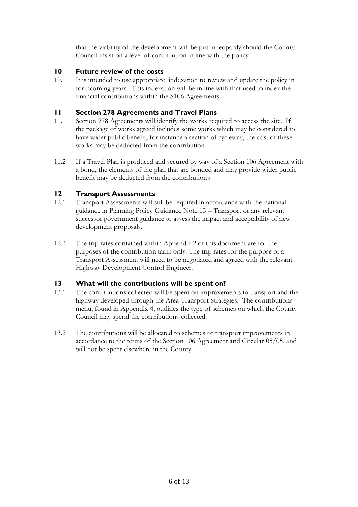that the viability of the development will be put in jeopardy should the County Council insist on a level of contribution in line with the policy.

### **10 Future review of the costs**

10.1 It is intended to use appropriate indexation to review and update the policy in forthcoming years. This indexation will be in line with that used to index the financial contributions within the S106 Agreements.

### **11 Section 278 Agreements and Travel Plans**

- 11.1 Section 278 Agreements will identify the works required to access the site. If the package of works agreed includes some works which may be considered to have wider public benefit, for instance a section of cycleway, the cost of these works may be deducted from the contribution.
- 11.2 If a Travel Plan is produced and secured by way of a Section 106 Agreement with a bond, the elements of the plan that are bonded and may provide wider public benefit may be deducted from the contributions

### **12 Transport Assessments**

- 12.1 Transport Assessments will still be required in accordance with the national guidance in Planning Policy Guidance Note 13 – Transport or any relevant successor government guidance to assess the impact and acceptability of new development proposals.
- 12.2 The trip rates contained within Appendix 2 of this document are for the purposes of the contribution tariff only. The trip rates for the purpose of a Transport Assessment will need to be negotiated and agreed with the relevant Highway Development Control Engineer.

### **13 What will the contributions will be spent on?**

- 13.1 The contributions collected will be spent on improvements to transport and the highway developed through the Area Transport Strategies. The contributions menu, found in Appendix 4, outlines the type of schemes on which the County Council may spend the contributions collected.
- 13.2 The contributions will be allocated to schemes or transport improvements in accordance to the terms of the Section 106 Agreement and Circular 05/05, and will not be spent elsewhere in the County.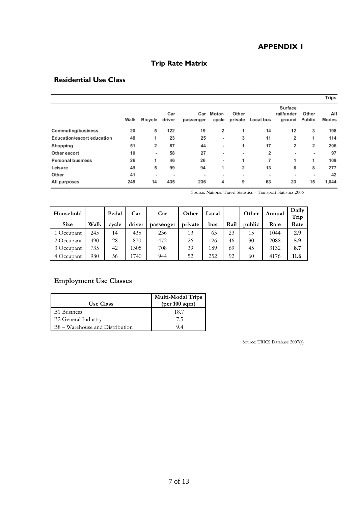### **APPENDIX 1**

# **Trip Rate Matrix**

# **Residential Use Class**

|                                   |      |                |               |                  |                 |                          |           |                                 |                 | <b>Trips</b> |
|-----------------------------------|------|----------------|---------------|------------------|-----------------|--------------------------|-----------|---------------------------------|-----------------|--------------|
|                                   | Walk | Bicycle        | Car<br>driver | Car<br>passenger | Motor-<br>cycle | Other<br>private         | Local bus | Surface<br>rail/under<br>ground | Other<br>Public | All<br>Modes |
| Commuting/business                | 20   | 5              | 122           | 19               | 2               |                          | 14        | 12                              | 3               | 198          |
| <b>Education/escort education</b> | 48   | 1              | 23            | 25               | ٠               | 3                        | 11        | 2                               | 1               | 114          |
| Shopping                          | 51   | 2              | 87            | 44               | ٠               | 1                        | 17        | 2                               | 2               | 206          |
| Other escort                      | 10   | ٠              | 58            | 27               | ٠               | $\overline{\phantom{a}}$ | 2         | ٠                               | ٠               | 97           |
| <b>Personal business</b>          | 26   | 1              | 46            | 26               | ۰               | 1                        | 7         | 1                               | 1               | 109          |
| Leisure                           | 49   | 5              | 99            | 94               | 1               | 2                        | 13        | 6                               | 8               | 277          |
| Other                             | 41   | $\blacksquare$ | ٠             | ٠                | ۰               | $\overline{\phantom{a}}$ | ٠         | ٠                               |                 | 42           |
| All purposes                      | 245  | 14             | 435           | 236              | 4               | 9                        | 63        | 23                              | 15              | 1.044        |

Source: National Travel Statistics – Transport Statistics 2006

| Household   |      | Pedal | Car    | Car       | Other   | Local |      | Other  | Annual | Daily<br>Trip |
|-------------|------|-------|--------|-----------|---------|-------|------|--------|--------|---------------|
| <b>Size</b> | Walk | cycle | driver | passenger | private | bus   | Rail | public | Rate   | Rate          |
| 1 Occupant  | 245  | 14    | 435    | 236       | 13      | 63    | 23   | 15     | 1044   | 2.9           |
| 2 Occupant  | 490  | 28    | 870    | 472       | 26      | 126   | 46   | 30     | 2088   | 5.9           |
| 3 Occupant  | 735  | 42    | 1305   | 708       | 39      | 189   | 69   | 45     | 3132   | 8.7           |
| 4 Occupant  | 980  | 56    | 1740   | 944       | 52      | 252   | 92   | 60     | 4176   | 11.6          |

# **Employment Use Classes**

| <b>Use Class</b>                | <b>Multi-Modal Trips</b><br>(per 100 sqm) |
|---------------------------------|-------------------------------------------|
| <b>B1</b> Business              | 18.7                                      |
| <b>B2 General Industry</b>      | 75                                        |
| B8 – Warehouse and Distribution | 94                                        |

Source: TRICS Database 2007(a)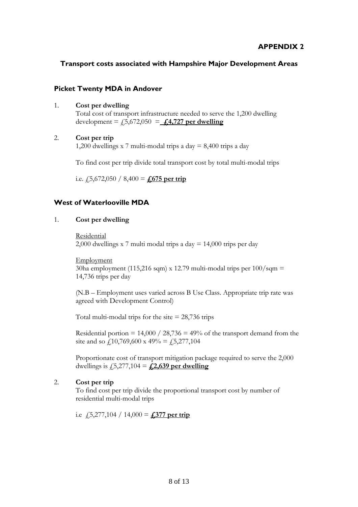### **Transport costs associated with Hampshire Major Development Areas**

### **Picket Twenty MDA in Andover**

1. **Cost per dwelling**

Total cost of transport infrastructure needed to serve the 1,200 dwelling development =  $f(5,672,050) = 4.4727$  per dwelling

#### 2. **Cost per trip**

1,200 dwellings x 7 multi-modal trips a day = 8,400 trips a day

To find cost per trip divide total transport cost by total multi-modal trips

i.e.  $\frac{1}{5,672,050}$  / 8,400 =  $\frac{1}{1,675}$  per trip

### **West of Waterlooville MDA**

#### 1. **Cost per dwelling**

Residential 2,000 dwellings x 7 multi modal trips a day  $= 14,000$  trips per day

Employment  $30ha$  employment (115,216 sqm) x 12.79 multi-modal trips per  $100/\text{sgm} =$ 14,736 trips per day

(N.B – Employment uses varied across B Use Class. Appropriate trip rate was agreed with Development Control)

Total multi-modal trips for the site  $= 28,736$  trips

Residential portion =  $14,000 / 28,736 = 49\%$  of the transport demand from the site and so  $\ell$ 10,769,600 x 49% =  $\ell$ 5,277,104

Proportionate cost of transport mitigation package required to serve the 2,000 dwellings is  $\sqrt{5,277,104} = \angle{2,639}$  per dwelling

### 2. **Cost per trip**

To find cost per trip divide the proportional transport cost by number of residential multi-modal trips

i.e  $\angle 5,277,104 / 14,000 =$  **£377** per trip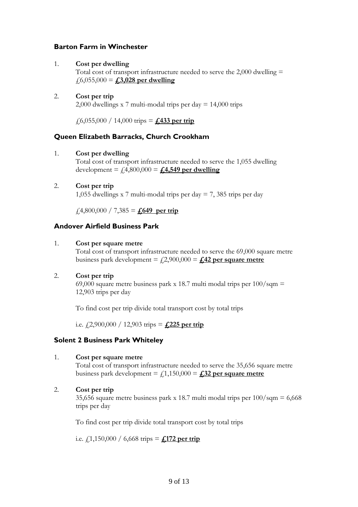### **Barton Farm in Winchester**

#### 1. **Cost per dwelling**

Total cost of transport infrastructure needed to serve the  $2,000$  dwelling  $=$  $\overline{f}$ 6,055,000 = **£3,028** per dwelling

### 2. **Cost per trip**

2,000 dwellings x 7 multi-modal trips per day = 14,000 trips

£6,055,000 / 14,000 trips = **£433 per trip**

### **Queen Elizabeth Barracks, Church Crookham**

#### 1. **Cost per dwelling**

Total cost of transport infrastructure needed to serve the 1,055 dwelling development =  $f_4800,000 = f_44,549$  per dwelling

#### 2. **Cost per trip**

1,055 dwellings x 7 multi-modal trips per day = 7, 385 trips per day

 $\text{\textsterling}4,800,000 / 7,385 = \text{\textsterling}649$  per trip

### **Andover Airfield Business Park**

#### 1. **Cost per square metre**

Total cost of transport infrastructure needed to serve the 69,000 square metre business park development =  $\text{\textsterling}2,900,000 = \text{\textsterling}42$  per square metre

#### 2. **Cost per trip**

69,000 square metre business park x 18.7 multi modal trips per  $100/\text{sgm} =$ 12,903 trips per day

To find cost per trip divide total transport cost by total trips

i.e.  $\frac{1}{2}$ ,900,000 / 12,903 trips =  $\frac{1}{2}$ ,225 per trip

### **Solent 2 Business Park Whiteley**

#### 1. **Cost per square metre**

Total cost of transport infrastructure needed to serve the 35,656 square metre business park development  $=$   $f(1,150,000) =$   $f(32)$  per square metre

#### 2. **Cost per trip**

35,656 square metre business park x 18.7 multi modal trips per  $100/\text{sgm} = 6,668$ trips per day

To find cost per trip divide total transport cost by total trips

i.e.  $\text{\textsterling}1,150,000 / 6,668 \text{ trips} = \text{\textsterling}172 \text{ per trip}$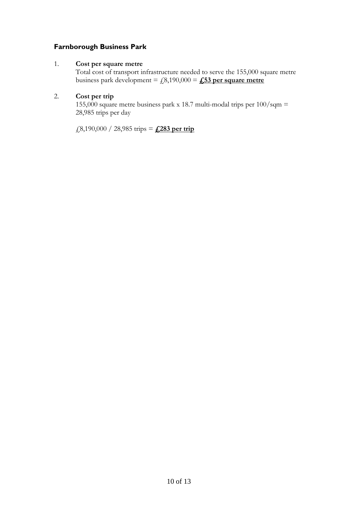### **Farnborough Business Park**

### 1. **Cost per square metre**

Total cost of transport infrastructure needed to serve the 155,000 square metre business park development =  $f(8,190,000) = 253$  per square metre

### 2. **Cost per trip**

155,000 square metre business park x 18.7 multi-modal trips per  $100/\text{sgm} =$ 28,985 trips per day

£8,190,000 / 28,985 trips = **£283 per trip**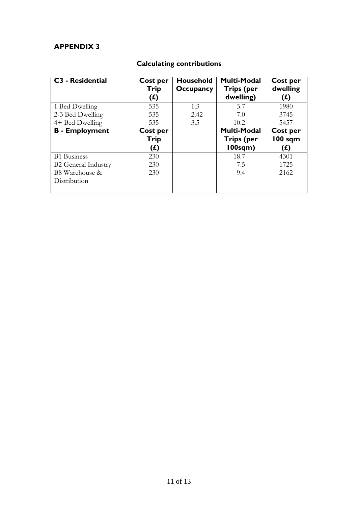# **APPENDIX 3**

| <b>C3 - Residential</b>    | Cost per<br>Trip<br>(£) | <b>Household</b><br><b>Occupancy</b> | <b>Multi-Modal</b><br><b>Trips (per</b><br>dwelling) | Cost per<br>dwelling<br>(L) |
|----------------------------|-------------------------|--------------------------------------|------------------------------------------------------|-----------------------------|
| 1 Bed Dwelling             | 535                     | 1.3                                  | 3.7                                                  | 1980                        |
| 2-3 Bed Dwelling           | 535                     | 2.42                                 | 7.0                                                  | 3745                        |
| 4+ Bed Dwelling            | 535                     | 3.5                                  | 10.2                                                 | 5457                        |
| <b>B</b> - Employment      | Cost per                |                                      | <b>Multi-Modal</b>                                   | Cost per                    |
|                            | Trip                    |                                      | <b>Trips (per</b>                                    | <b>100 sqm</b>              |
|                            | (£)                     |                                      | 100sqm)                                              | (£)                         |
| <b>B1</b> Business         | 230                     |                                      | 18.7                                                 | 4301                        |
| <b>B2</b> General Industry | 230                     |                                      | 7.5                                                  | 1725                        |
| B8 Warehouse &             | 230                     |                                      | 9.4                                                  | 2162                        |
| Distribution               |                         |                                      |                                                      |                             |

# **Calculating contributions**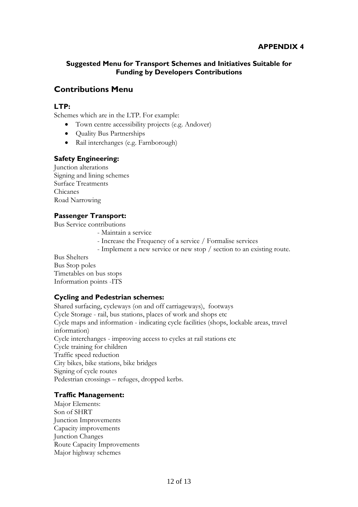# **Suggested Menu for Transport Schemes and Initiatives Suitable for Funding by Developers Contributions**

# **Contributions Menu**

# **LTP:**

Schemes which are in the LTP. For example:

- Town centre accessibility projects (e.g. Andover)
- Quality Bus Partnerships
- Rail interchanges (e.g. Farnborough)

### **Safety Engineering:**

Junction alterations Signing and lining schemes Surface Treatments Chicanes Road Narrowing

### **Passenger Transport:**

Bus Service contributions

- Maintain a service
- Increase the Frequency of a service / Formalise services
- Implement a new service or new stop / section to an existing route.

Bus Shelters Bus Stop poles Timetables on bus stops Information points -ITS

# **Cycling and Pedestrian schemes:**

Shared surfacing, cycleways (on and off carriageways), footways Cycle Storage - rail, bus stations, places of work and shops etc Cycle maps and information - indicating cycle facilities (shops, lockable areas, travel information) Cycle interchanges - improving access to cycles at rail stations etc Cycle training for children Traffic speed reduction City bikes, bike stations, bike bridges Signing of cycle routes Pedestrian crossings – refuges, dropped kerbs.

# **Traffic Management:**

Major Elements: Son of SHRT Junction Improvements Capacity improvements Junction Changes Route Capacity Improvements Major highway schemes